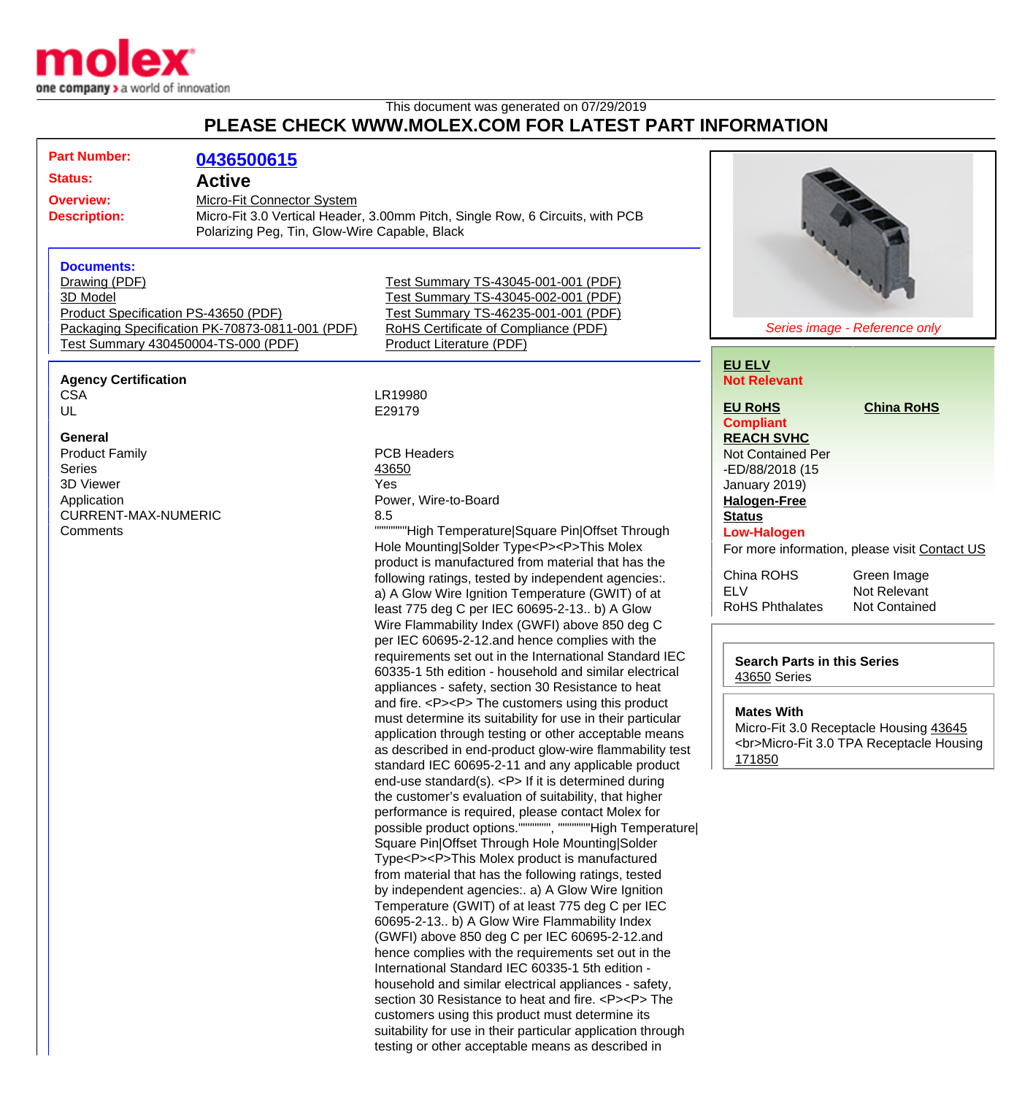

## This document was generated on 07/29/2019 **PLEASE CHECK WWW.MOLEX.COM FOR LATEST PART INFORMATION**

| <b>Part Number:</b>                                                                                                                                                                                                                                                                                                  | 0436500615                                                                                                                                                   |                                                                                                                                                                                                                                                                                                                                                                                                                                                                                                                                                                                                                                                                                                                                                                                                                                                                                                                                                                                                                                                                                                                                                                                                                                                                                                                                                                                                                                                                                                                                                                                                                                                                                                                                                                                                                                                                                                                                                                                                                                                                                                                                                                                                                                                          |                                                                                                                                                                                                                                              |                                                                                                                                                                                     |
|----------------------------------------------------------------------------------------------------------------------------------------------------------------------------------------------------------------------------------------------------------------------------------------------------------------------|--------------------------------------------------------------------------------------------------------------------------------------------------------------|----------------------------------------------------------------------------------------------------------------------------------------------------------------------------------------------------------------------------------------------------------------------------------------------------------------------------------------------------------------------------------------------------------------------------------------------------------------------------------------------------------------------------------------------------------------------------------------------------------------------------------------------------------------------------------------------------------------------------------------------------------------------------------------------------------------------------------------------------------------------------------------------------------------------------------------------------------------------------------------------------------------------------------------------------------------------------------------------------------------------------------------------------------------------------------------------------------------------------------------------------------------------------------------------------------------------------------------------------------------------------------------------------------------------------------------------------------------------------------------------------------------------------------------------------------------------------------------------------------------------------------------------------------------------------------------------------------------------------------------------------------------------------------------------------------------------------------------------------------------------------------------------------------------------------------------------------------------------------------------------------------------------------------------------------------------------------------------------------------------------------------------------------------------------------------------------------------------------------------------------------------|----------------------------------------------------------------------------------------------------------------------------------------------------------------------------------------------------------------------------------------------|-------------------------------------------------------------------------------------------------------------------------------------------------------------------------------------|
| <b>Status:</b>                                                                                                                                                                                                                                                                                                       | <b>Active</b>                                                                                                                                                |                                                                                                                                                                                                                                                                                                                                                                                                                                                                                                                                                                                                                                                                                                                                                                                                                                                                                                                                                                                                                                                                                                                                                                                                                                                                                                                                                                                                                                                                                                                                                                                                                                                                                                                                                                                                                                                                                                                                                                                                                                                                                                                                                                                                                                                          |                                                                                                                                                                                                                                              |                                                                                                                                                                                     |
| <b>Overview:</b><br><b>Description:</b>                                                                                                                                                                                                                                                                              | Micro-Fit Connector System<br>Micro-Fit 3.0 Vertical Header, 3.00mm Pitch, Single Row, 6 Circuits, with PCB<br>Polarizing Peg, Tin, Glow-Wire Capable, Black |                                                                                                                                                                                                                                                                                                                                                                                                                                                                                                                                                                                                                                                                                                                                                                                                                                                                                                                                                                                                                                                                                                                                                                                                                                                                                                                                                                                                                                                                                                                                                                                                                                                                                                                                                                                                                                                                                                                                                                                                                                                                                                                                                                                                                                                          |                                                                                                                                                                                                                                              |                                                                                                                                                                                     |
| <b>Documents:</b><br>Drawing (PDF)<br>3D Model<br>Product Specification PS-43650 (PDF)<br>Packaging Specification PK-70873-0811-001 (PDF)<br>Test Summary 430450004-TS-000 (PDF)<br><b>Agency Certification</b><br><b>CSA</b><br>UL<br>General<br><b>Product Family</b><br><b>Series</b><br>3D Viewer<br>Application |                                                                                                                                                              | Test Summary TS-43045-001-001 (PDF)<br>Test Summary TS-43045-002-001 (PDF)<br>Test Summary TS-46235-001-001 (PDF)<br>RoHS Certificate of Compliance (PDF)<br>Product Literature (PDF)<br>LR19980<br>E29179<br><b>PCB Headers</b><br>43650<br>Yes<br>Power, Wire-to-Board<br>8.5<br>""""""High Temperature Square Pin Offset Through<br>Hole Mounting Solder Type <p><p>This Molex<br/>product is manufactured from material that has the<br/>following ratings, tested by independent agencies:.<br/>a) A Glow Wire Ignition Temperature (GWIT) of at<br/>least 775 deg C per IEC 60695-2-13 b) A Glow<br/>Wire Flammability Index (GWFI) above 850 deg C<br/>per IEC 60695-2-12.and hence complies with the<br/>requirements set out in the International Standard IEC<br/>60335-1 5th edition - household and similar electrical<br/>appliances - safety, section 30 Resistance to heat<br/>and fire. <p><p> The customers using this product<br/>must determine its suitability for use in their particular<br/>application through testing or other acceptable means<br/>as described in end-product glow-wire flammability test<br/>standard IEC 60695-2-11 and any applicable product<br/>end-use standard(s). <p> If it is determined during<br/>the customer's evaluation of suitability, that higher<br/>performance is required, please contact Molex for<br/>possible product options.""""""", """""""High Temperature <br/>Square Pin Offset Through Hole Mounting Solder<br/>Type<p><p>This Molex product is manufactured<br/>from material that has the following ratings, tested<br/>by independent agencies: a) A Glow Wire Ignition<br/>Temperature (GWIT) of at least 775 deg C per IEC<br/>60695-2-13 b) A Glow Wire Flammability Index<br/>(GWFI) above 850 deg C per IEC 60695-2-12.and<br/>hence complies with the requirements set out in the<br/>International Standard IEC 60335-1 5th edition -<br/>household and similar electrical appliances - safety,<br/>section 30 Resistance to heat and fire. <p><p> The<br/>customers using this product must determine its<br/>suitability for use in their particular application through<br/>testing or other acceptable means as described in</p></p></p></p></p></p></p></p></p> | Series image - Reference only<br><b>EU ELV</b><br><b>Not Relevant</b><br><b>EU RoHS</b><br><b>China RoHS</b><br><b>Compliant</b><br><b>REACH SVHC</b><br><b>Not Contained Per</b><br>-ED/88/2018 (15<br>January 2019)<br><b>Halogen-Free</b> |                                                                                                                                                                                     |
| <b>CURRENT-MAX-NUMERIC</b><br>Comments                                                                                                                                                                                                                                                                               |                                                                                                                                                              |                                                                                                                                                                                                                                                                                                                                                                                                                                                                                                                                                                                                                                                                                                                                                                                                                                                                                                                                                                                                                                                                                                                                                                                                                                                                                                                                                                                                                                                                                                                                                                                                                                                                                                                                                                                                                                                                                                                                                                                                                                                                                                                                                                                                                                                          | <b>Status</b><br><b>Low-Halogen</b><br>China ROHS<br><b>ELV</b><br><b>RoHS Phthalates</b><br><b>Search Parts in this Series</b><br>43650 Series<br><b>Mates With</b><br>171850                                                               | For more information, please visit Contact US<br>Green Image<br>Not Relevant<br>Not Contained<br>Micro-Fit 3.0 Receptacle Housing 43645<br><br>Micro-Fit 3.0 TPA Receptacle Housing |